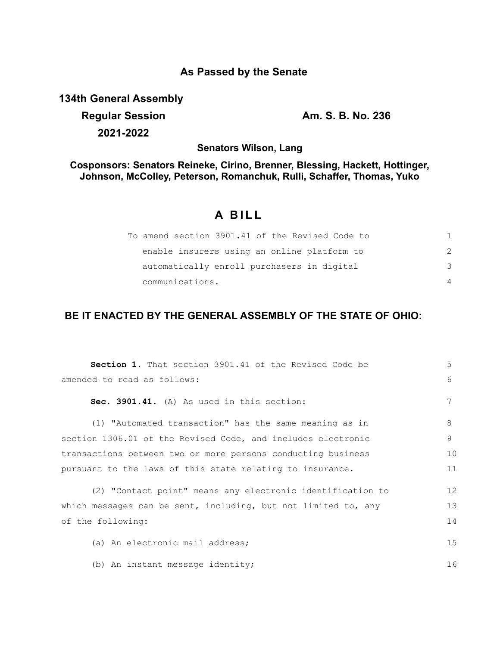# **As Passed by the Senate**

**134th General Assembly**

**Regular Session Am. S. B. No. 236 2021-2022**

**Senators Wilson, Lang**

**Cosponsors: Senators Reineke, Cirino, Brenner, Blessing, Hackett, Hottinger, Johnson, McColley, Peterson, Romanchuk, Rulli, Schaffer, Thomas, Yuko**

## **A BILL**

|                                            | To amend section 3901.41 of the Revised Code to |  |
|--------------------------------------------|-------------------------------------------------|--|
|                                            | enable insurers using an online platform to     |  |
| automatically enroll purchasers in digital | -२                                              |  |
| communications.                            |                                                 |  |

### **BE IT ENACTED BY THE GENERAL ASSEMBLY OF THE STATE OF OHIO:**

| <b>Section 1.</b> That section 3901.41 of the Revised Code be        |    |  |  |  |  |
|----------------------------------------------------------------------|----|--|--|--|--|
| amended to read as follows:                                          |    |  |  |  |  |
| Sec. 3901.41. (A) As used in this section:                           | 7  |  |  |  |  |
| (1) "Automated transaction" has the same meaning as in               | 8  |  |  |  |  |
| section 1306.01 of the Revised Code, and includes electronic         |    |  |  |  |  |
| transactions between two or more persons conducting business         |    |  |  |  |  |
| pursuant to the laws of this state relating to insurance.            |    |  |  |  |  |
| (2) "Contact point" means any electronic identification to           | 12 |  |  |  |  |
| 13<br>which messages can be sent, including, but not limited to, any |    |  |  |  |  |
| of the following:                                                    | 14 |  |  |  |  |
| (a) An electronic mail address;                                      | 15 |  |  |  |  |
| (b) An instant message identity;                                     | 16 |  |  |  |  |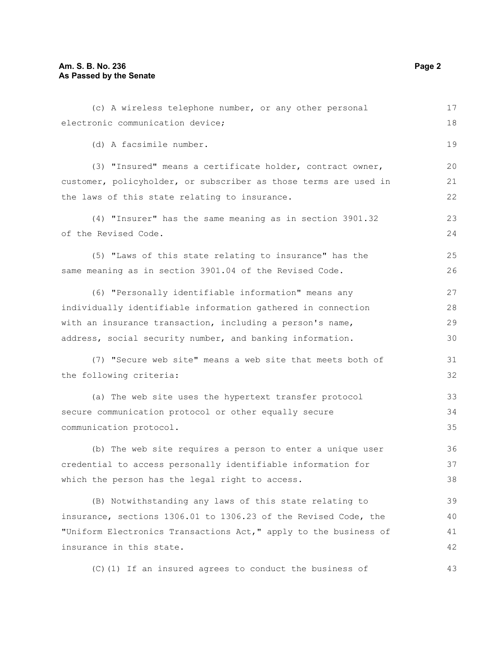| (c) A wireless telephone number, or any other personal           | 17 |  |  |  |  |
|------------------------------------------------------------------|----|--|--|--|--|
| electronic communication device;                                 |    |  |  |  |  |
| (d) A facsimile number.                                          | 19 |  |  |  |  |
| (3) "Insured" means a certificate holder, contract owner,        | 20 |  |  |  |  |
| customer, policyholder, or subscriber as those terms are used in | 21 |  |  |  |  |
| the laws of this state relating to insurance.                    | 22 |  |  |  |  |
| (4) "Insurer" has the same meaning as in section 3901.32         | 23 |  |  |  |  |
| of the Revised Code.                                             | 24 |  |  |  |  |
| (5) "Laws of this state relating to insurance" has the           | 25 |  |  |  |  |
| same meaning as in section 3901.04 of the Revised Code.          | 26 |  |  |  |  |
| (6) "Personally identifiable information" means any              | 27 |  |  |  |  |
| individually identifiable information gathered in connection     |    |  |  |  |  |
| with an insurance transaction, including a person's name,        |    |  |  |  |  |
| address, social security number, and banking information.        | 30 |  |  |  |  |
| (7) "Secure web site" means a web site that meets both of        | 31 |  |  |  |  |
| the following criteria:                                          | 32 |  |  |  |  |
| (a) The web site uses the hypertext transfer protocol            | 33 |  |  |  |  |
| secure communication protocol or other equally secure            |    |  |  |  |  |
| communication protocol.                                          | 35 |  |  |  |  |
| (b) The web site requires a person to enter a unique user        | 36 |  |  |  |  |
| credential to access personally identifiable information for     | 37 |  |  |  |  |
| which the person has the legal right to access.                  | 38 |  |  |  |  |
| (B) Notwithstanding any laws of this state relating to           | 39 |  |  |  |  |
| insurance, sections 1306.01 to 1306.23 of the Revised Code, the  | 40 |  |  |  |  |
| "Uniform Electronics Transactions Act," apply to the business of | 41 |  |  |  |  |
| insurance in this state.                                         |    |  |  |  |  |

(C)(1) If an insured agrees to conduct the business of

43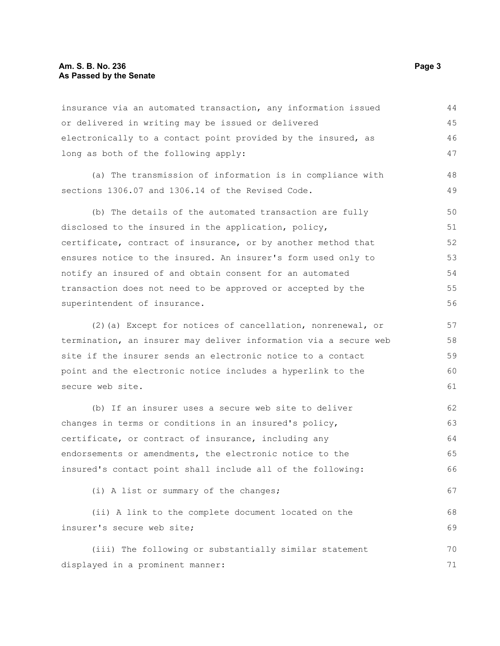#### **Am. S. B. No. 236** Page 3 **As Passed by the Senate**

| insurance via an automated transaction, any information issued   | 44 |
|------------------------------------------------------------------|----|
| or delivered in writing may be issued or delivered               | 45 |
| electronically to a contact point provided by the insured, as    | 46 |
| long as both of the following apply:                             | 47 |
| (a) The transmission of information is in compliance with        | 48 |
| sections 1306.07 and 1306.14 of the Revised Code.                | 49 |
| (b) The details of the automated transaction are fully           | 50 |
| disclosed to the insured in the application, policy,             | 51 |
| certificate, contract of insurance, or by another method that    | 52 |
| ensures notice to the insured. An insurer's form used only to    | 53 |
| notify an insured of and obtain consent for an automated         | 54 |
| transaction does not need to be approved or accepted by the      | 55 |
| superintendent of insurance.                                     | 56 |
| (2) (a) Except for notices of cancellation, nonrenewal, or       | 57 |
| termination, an insurer may deliver information via a secure web | 58 |
| site if the insurer sends an electronic notice to a contact      | 59 |
| point and the electronic notice includes a hyperlink to the      | 60 |
| secure web site.                                                 | 61 |
| (b) If an insurer uses a secure web site to deliver              | 62 |
| changes in terms or conditions in an insured's policy,           | 63 |
| certificate, or contract of insurance, including any             | 64 |
| endorsements or amendments, the electronic notice to the         | 65 |
| insured's contact point shall include all of the following:      | 66 |
| (i) A list or summary of the changes;                            | 67 |
| (ii) A link to the complete document located on the              | 68 |
| insurer's secure web site;                                       | 69 |
| (iii) The following or substantially similar statement           | 70 |
| displayed in a prominent manner:                                 | 71 |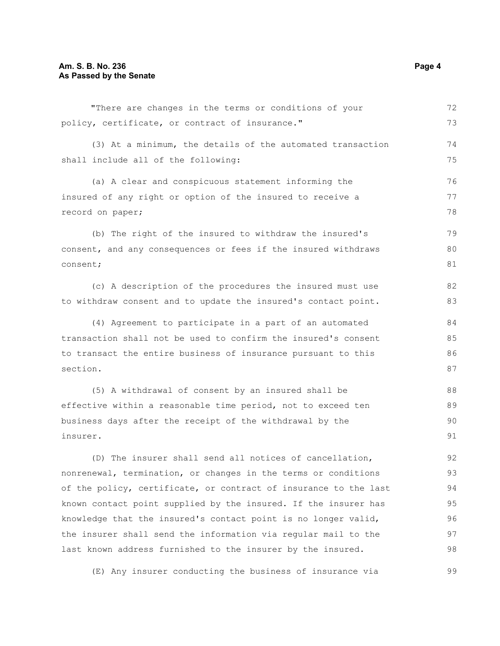"There are changes in the terms or conditions of your policy, certificate, or contract of insurance." (3) At a minimum, the details of the automated transaction shall include all of the following: (a) A clear and conspicuous statement informing the insured of any right or option of the insured to receive a record on paper; (b) The right of the insured to withdraw the insured's consent, and any consequences or fees if the insured withdraws consent; (c) A description of the procedures the insured must use to withdraw consent and to update the insured's contact point. (4) Agreement to participate in a part of an automated transaction shall not be used to confirm the insured's consent to transact the entire business of insurance pursuant to this section. (5) A withdrawal of consent by an insured shall be effective within a reasonable time period, not to exceed ten business days after the receipt of the withdrawal by the insurer. 72 73 74 75 76 77 78 79 80 81 82 83 84 85 86 87 88 89  $90$ 91 92

(D) The insurer shall send all notices of cancellation, nonrenewal, termination, or changes in the terms or conditions of the policy, certificate, or contract of insurance to the last known contact point supplied by the insured. If the insurer has knowledge that the insured's contact point is no longer valid, the insurer shall send the information via regular mail to the last known address furnished to the insurer by the insured. 93 94 95 96 97 98

(E) Any insurer conducting the business of insurance via

99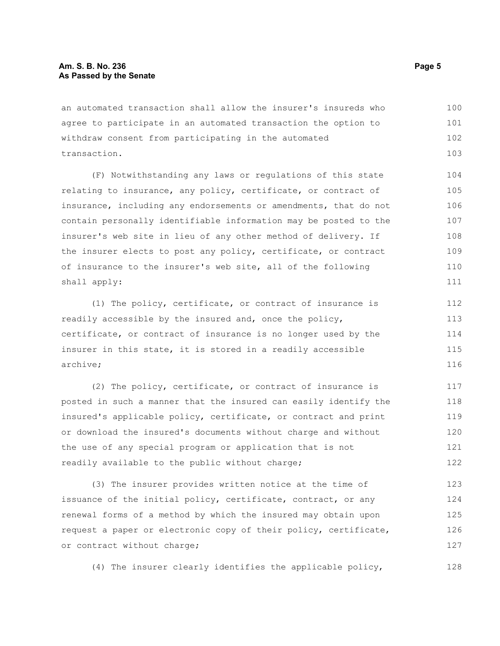an automated transaction shall allow the insurer's insureds who agree to participate in an automated transaction the option to withdraw consent from participating in the automated transaction. 100 101 102 103

(F) Notwithstanding any laws or regulations of this state relating to insurance, any policy, certificate, or contract of insurance, including any endorsements or amendments, that do not contain personally identifiable information may be posted to the insurer's web site in lieu of any other method of delivery. If the insurer elects to post any policy, certificate, or contract of insurance to the insurer's web site, all of the following shall apply:

(1) The policy, certificate, or contract of insurance is readily accessible by the insured and, once the policy, certificate, or contract of insurance is no longer used by the insurer in this state, it is stored in a readily accessible archive;

(2) The policy, certificate, or contract of insurance is posted in such a manner that the insured can easily identify the insured's applicable policy, certificate, or contract and print or download the insured's documents without charge and without the use of any special program or application that is not readily available to the public without charge; 117 118 119 120 121 122

(3) The insurer provides written notice at the time of issuance of the initial policy, certificate, contract, or any renewal forms of a method by which the insured may obtain upon request a paper or electronic copy of their policy, certificate, or contract without charge; 123 124 125 126 127

(4) The insurer clearly identifies the applicable policy,

128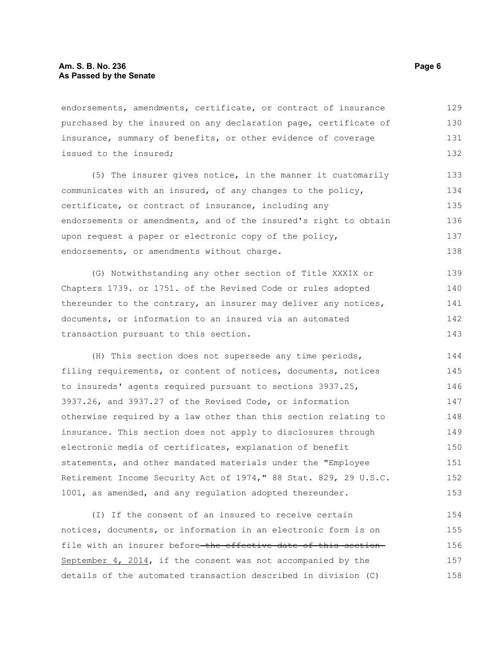endorsements, amendments, certificate, or contract of insurance purchased by the insured on any declaration page, certificate of insurance, summary of benefits, or other evidence of coverage issued to the insured; 129 130 131 132

(5) The insurer gives notice, in the manner it customarily communicates with an insured, of any changes to the policy, certificate, or contract of insurance, including any endorsements or amendments, and of the insured's right to obtain upon request a paper or electronic copy of the policy, endorsements, or amendments without charge. 133 134 135 136 137 138

(G) Notwithstanding any other section of Title XXXIX or Chapters 1739. or 1751. of the Revised Code or rules adopted thereunder to the contrary, an insurer may deliver any notices, documents, or information to an insured via an automated transaction pursuant to this section. 139 140 141 142 143

(H) This section does not supersede any time periods, filing requirements, or content of notices, documents, notices to insureds' agents required pursuant to sections 3937.25, 3937.26, and 3937.27 of the Revised Code, or information otherwise required by a law other than this section relating to insurance. This section does not apply to disclosures through electronic media of certificates, explanation of benefit statements, and other mandated materials under the "Employee Retirement Income Security Act of 1974," 88 Stat. 829, 29 U.S.C. 1001, as amended, and any regulation adopted thereunder. 144 145 146 147 148 149 150 151 152 153

(I) If the consent of an insured to receive certain notices, documents, or information in an electronic form is on file with an insurer before the effective date of this section-September 4, 2014, if the consent was not accompanied by the details of the automated transaction described in division (C) 154 155 156 157 158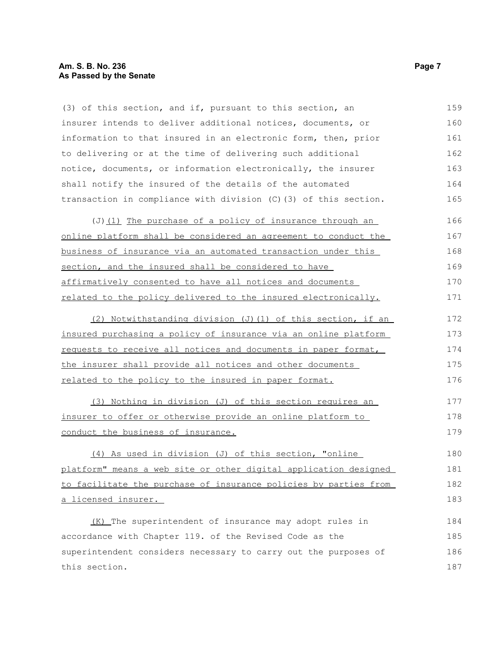#### **Am. S. B. No. 236** Page 7 **As Passed by the Senate**

(3) of this section, and if, pursuant to this section, an insurer intends to deliver additional notices, documents, or information to that insured in an electronic form, then, prior to delivering or at the time of delivering such additional notice, documents, or information electronically, the insurer shall notify the insured of the details of the automated transaction in compliance with division (C)(3) of this section. 159 160 161 162 163 164 165

| $(J)$ (1) The purchase of a policy of insurance through an      | 166 |  |  |  |
|-----------------------------------------------------------------|-----|--|--|--|
| online platform shall be considered an agreement to conduct the | 167 |  |  |  |
| business of insurance via an automated transaction under this   | 168 |  |  |  |
| section, and the insured shall be considered to have            |     |  |  |  |
| affirmatively consented to have all notices and documents       |     |  |  |  |
| related to the policy delivered to the insured electronically.  | 171 |  |  |  |

(2) Notwithstanding division (J)(1) of this section, if an insured purchasing a policy of insurance via an online platform requests to receive all notices and documents in paper format, the insurer shall provide all notices and other documents related to the policy to the insured in paper format. 172 173 174 175 176

(3) Nothing in division (J) of this section requires an insurer to offer or otherwise provide an online platform to conduct the business of insurance. 177 178 179

(4) As used in division (J) of this section, "online platform" means a web site or other digital application designed to facilitate the purchase of insurance policies by parties from a licensed insurer. 180 181 182 183

(K) The superintendent of insurance may adopt rules in accordance with Chapter 119. of the Revised Code as the superintendent considers necessary to carry out the purposes of this section. 184 185 186 187